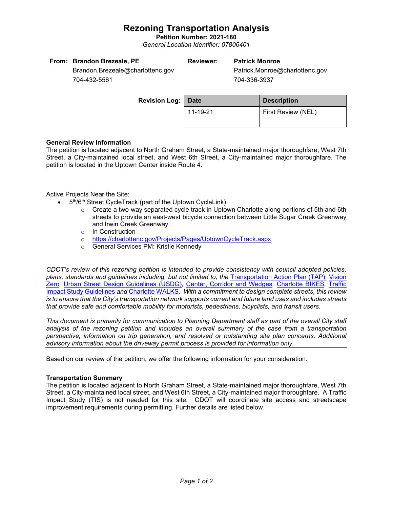## **Rezoning Transportation Analysis**

**Petition Number: 2021-180** *General Location Identifier: 07806401*

| From: Brandon Brezeale, PE       | Reviewer: | <b>Patrick Monroe</b>          |  |
|----------------------------------|-----------|--------------------------------|--|
| Brandon.Brezeale@charlottenc.gov |           | Patrick.Monroe@charlottenc.gov |  |

704-432-5561

704-336-3937

| <b>Revision Log: Date</b> |          | <b>Description</b> |  |
|---------------------------|----------|--------------------|--|
|                           | 11-19-21 | First Review (NEL) |  |

### **General Review Information**

The petition is located adjacent to North Graham Street, a State-maintained major thoroughfare, West 7th Street, a City-maintained local street, and West 6th Street, a City-maintained major thoroughfare. The petition is located in the Uptown Center inside Route 4.

Active Projects Near the Site:

- 5<sup>th</sup>/6<sup>th</sup> Street CycleTrack (part of the Uptown CycleLink)
	- o Create a two-way separated cycle track in Uptown Charlotte along portions of 5th and 6th streets to provide an east-west bicycle connection between Little Sugar Creek Greenway and Irwin Creek Greenway.
	- o In Construction
	- o <https://charlottenc.gov/Projects/Pages/UptownCycleTrack.aspx>
	- o General Services PM: Kristie Kennedy

*CDOT's review of this rezoning petition is intended to provide consistency with council adopted policies, plans, standards and guidelines including, but not limited to, the* [Transportation Action Plan \(TAP\),](https://charlottenc.gov/Transportation/Programs/Pages/TransportationActionPlan.aspx) [Vision](https://charlottenc.gov/VisionZero/Pages/VisionZero.aspx)  [Zero](https://charlottenc.gov/VisionZero/Pages/VisionZero.aspx)*,* [Urban Street Design Guidelines \(USDG\)](https://charlottenc.gov/Transportation/PlansProjects/Documents/USDG%20Full%20Document.pdf)*,* [Center, Corridor and Wedges](http://ww.charmeck.org/Planning/Land%20Use%20Planning/CentersCorridorsWedges/CentersCorridorsWedges(Adopted).pdf)*,* [Charlotte BIKES](https://charlottenc.gov/Transportation/Programs/Pages/Bicycle.aspx)*,* [Traffic](https://charlottenc.gov/Transportation/Permits/Documents/TISProcessandGuildlines.pdf)  [Impact Study Guidelines](https://charlottenc.gov/Transportation/Permits/Documents/TISProcessandGuildlines.pdf) *and* [Charlotte WALKS](https://charlottenc.gov/Transportation/Programs/Pages/CharlotteWalks.aspx)*. With a commitment to design complete streets, this review is to ensure that the City's transportation network supports current and future land uses and includes streets that provide safe and comfortable mobility for motorists, pedestrians, bicyclists, and transit users.*

*This document is primarily for communication to Planning Department staff as part of the overall City staff analysis of the rezoning petition and includes an overall summary of the case from a transportation perspective, information on trip generation, and resolved or outstanding site plan concerns. Additional advisory information about the driveway permit process is provided for information only.*

Based on our review of the petition, we offer the following information for your consideration.

#### **Transportation Summary**

The petition is located adjacent to North Graham Street, a State-maintained major thoroughfare, West 7th Street, a City-maintained local street, and West 6th Street, a City-maintained major thoroughfare. A Traffic Impact Study (TIS) is not needed for this site. CDOT will coordinate site access and streetscape improvement requirements during permitting. Further details are listed below.